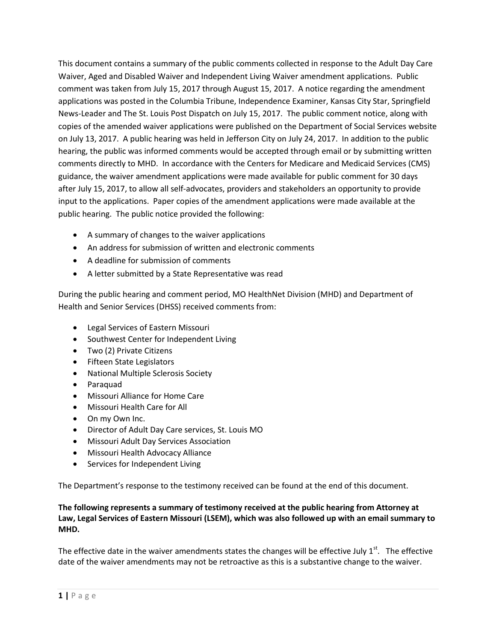This document contains a summary of the public comments collected in response to the Adult Day Care Waiver, Aged and Disabled Waiver and Independent Living Waiver amendment applications. Public comment was taken from July 15, 2017 through August 15, 2017. A notice regarding the amendment applications was posted in the Columbia Tribune, Independence Examiner, Kansas City Star, Springfield News-Leader and The St. Louis Post Dispatch on July 15, 2017. The public comment notice, along with copies of the amended waiver applications were published on the Department of Social Services website on July 13, 2017. A public hearing was held in Jefferson City on July 24, 2017. In addition to the public hearing, the public was informed comments would be accepted through email or by submitting written comments directly to MHD. In accordance with the Centers for Medicare and Medicaid Services (CMS) guidance, the waiver amendment applications were made available for public comment for 30 days after July 15, 2017, to allow all self-advocates, providers and stakeholders an opportunity to provide input to the applications. Paper copies of the amendment applications were made available at the public hearing. The public notice provided the following:

- A summary of changes to the waiver applications
- An address for submission of written and electronic comments
- A deadline for submission of comments
- A letter submitted by a State Representative was read

During the public hearing and comment period, MO HealthNet Division (MHD) and Department of Health and Senior Services (DHSS) received comments from:

- Legal Services of Eastern Missouri
- Southwest Center for Independent Living
- Two (2) Private Citizens
- **•** Fifteen State Legislators
- National Multiple Sclerosis Society
- Paraquad
- Missouri Alliance for Home Care
- Missouri Health Care for All
- On my Own Inc.
- Director of Adult Day Care services, St. Louis MO
- Missouri Adult Day Services Association
- Missouri Health Advocacy Alliance
- Services for Independent Living

The Department's response to the testimony received can be found at the end of this document.

### **The following represents a summary of testimony received at the public hearing from Attorney at Law, Legal Services of Eastern Missouri (LSEM), which was also followed up with an email summary to MHD.**

The effective date in the waiver amendments states the changes will be effective July  $1<sup>st</sup>$ . The effective date of the waiver amendments may not be retroactive as this is a substantive change to the waiver.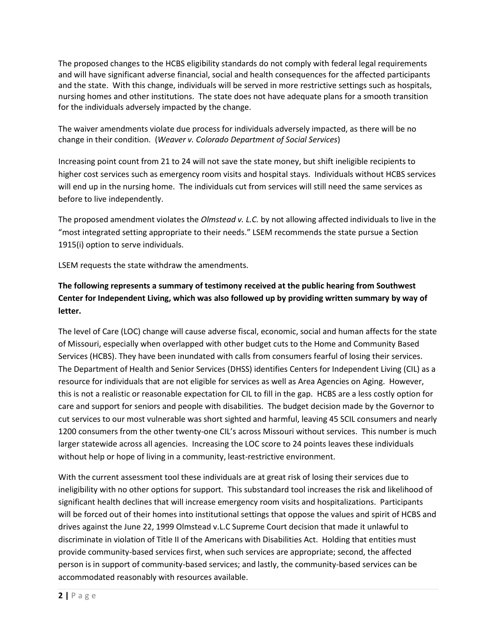The proposed changes to the HCBS eligibility standards do not comply with federal legal requirements and will have significant adverse financial, social and health consequences for the affected participants and the state. With this change, individuals will be served in more restrictive settings such as hospitals, nursing homes and other institutions. The state does not have adequate plans for a smooth transition for the individuals adversely impacted by the change.

The waiver amendments violate due process for individuals adversely impacted, as there will be no change in their condition. (*Weaver v. Colorado Department of Social Services*)

Increasing point count from 21 to 24 will not save the state money, but shift ineligible recipients to higher cost services such as emergency room visits and hospital stays. Individuals without HCBS services will end up in the nursing home. The individuals cut from services will still need the same services as before to live independently.

The proposed amendment violates the *Olmstead v. L.C.* by not allowing affected individuals to live in the "most integrated setting appropriate to their needs." LSEM recommends the state pursue a Section 1915(i) option to serve individuals.

LSEM requests the state withdraw the amendments.

# **The following represents a summary of testimony received at the public hearing from Southwest Center for Independent Living, which was also followed up by providing written summary by way of letter.**

The level of Care (LOC) change will cause adverse fiscal, economic, social and human affects for the state of Missouri, especially when overlapped with other budget cuts to the Home and Community Based Services (HCBS). They have been inundated with calls from consumers fearful of losing their services. The Department of Health and Senior Services (DHSS) identifies Centers for Independent Living (CIL) as a resource for individuals that are not eligible for services as well as Area Agencies on Aging. However, this is not a realistic or reasonable expectation for CIL to fill in the gap. HCBS are a less costly option for care and support for seniors and people with disabilities. The budget decision made by the Governor to cut services to our most vulnerable was short sighted and harmful, leaving 45 SCIL consumers and nearly 1200 consumers from the other twenty-one CIL's across Missouri without services. This number is much larger statewide across all agencies. Increasing the LOC score to 24 points leaves these individuals without help or hope of living in a community, least-restrictive environment.

With the current assessment tool these individuals are at great risk of losing their services due to ineligibility with no other options for support. This substandard tool increases the risk and likelihood of significant health declines that will increase emergency room visits and hospitalizations. Participants will be forced out of their homes into institutional settings that oppose the values and spirit of HCBS and drives against the June 22, 1999 Olmstead v.L.C Supreme Court decision that made it unlawful to discriminate in violation of Title II of the Americans with Disabilities Act. Holding that entities must provide community-based services first, when such services are appropriate; second, the affected person is in support of community-based services; and lastly, the community-based services can be accommodated reasonably with resources available.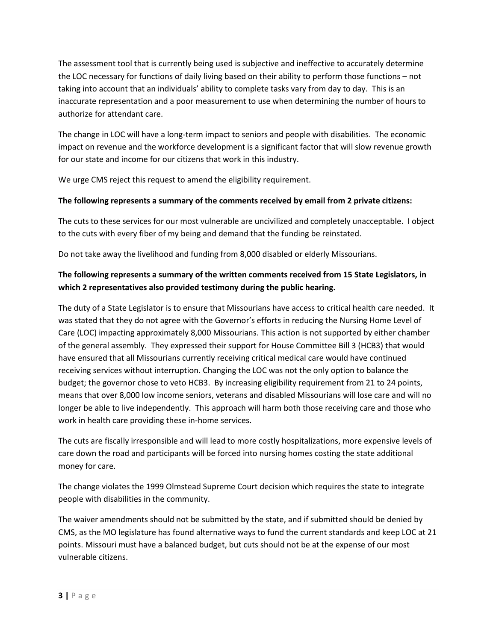The assessment tool that is currently being used is subjective and ineffective to accurately determine the LOC necessary for functions of daily living based on their ability to perform those functions – not taking into account that an individuals' ability to complete tasks vary from day to day. This is an inaccurate representation and a poor measurement to use when determining the number of hours to authorize for attendant care.

The change in LOC will have a long-term impact to seniors and people with disabilities. The economic impact on revenue and the workforce development is a significant factor that will slow revenue growth for our state and income for our citizens that work in this industry.

We urge CMS reject this request to amend the eligibility requirement.

### **The following represents a summary of the comments received by email from 2 private citizens:**

The cuts to these services for our most vulnerable are uncivilized and completely unacceptable. I object to the cuts with every fiber of my being and demand that the funding be reinstated.

Do not take away the livelihood and funding from 8,000 disabled or elderly Missourians.

# **The following represents a summary of the written comments received from 15 State Legislators, in which 2 representatives also provided testimony during the public hearing.**

The duty of a State Legislator is to ensure that Missourians have access to critical health care needed. It was stated that they do not agree with the Governor's efforts in reducing the Nursing Home Level of Care (LOC) impacting approximately 8,000 Missourians. This action is not supported by either chamber of the general assembly. They expressed their support for House Committee Bill 3 (HCB3) that would have ensured that all Missourians currently receiving critical medical care would have continued receiving services without interruption. Changing the LOC was not the only option to balance the budget; the governor chose to veto HCB3. By increasing eligibility requirement from 21 to 24 points, means that over 8,000 low income seniors, veterans and disabled Missourians will lose care and will no longer be able to live independently. This approach will harm both those receiving care and those who work in health care providing these in-home services.

The cuts are fiscally irresponsible and will lead to more costly hospitalizations, more expensive levels of care down the road and participants will be forced into nursing homes costing the state additional money for care.

The change violates the 1999 Olmstead Supreme Court decision which requires the state to integrate people with disabilities in the community.

The waiver amendments should not be submitted by the state, and if submitted should be denied by CMS, as the MO legislature has found alternative ways to fund the current standards and keep LOC at 21 points. Missouri must have a balanced budget, but cuts should not be at the expense of our most vulnerable citizens.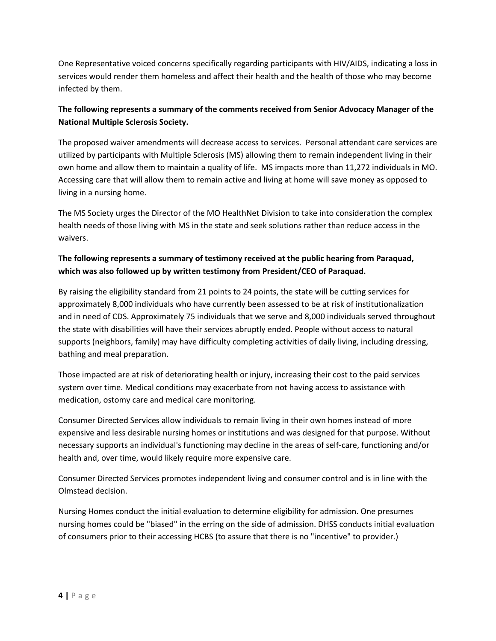One Representative voiced concerns specifically regarding participants with HIV/AIDS, indicating a loss in services would render them homeless and affect their health and the health of those who may become infected by them.

# **The following represents a summary of the comments received from Senior Advocacy Manager of the National Multiple Sclerosis Society.**

The proposed waiver amendments will decrease access to services. Personal attendant care services are utilized by participants with Multiple Sclerosis (MS) allowing them to remain independent living in their own home and allow them to maintain a quality of life. MS impacts more than 11,272 individuals in MO. Accessing care that will allow them to remain active and living at home will save money as opposed to living in a nursing home.

The MS Society urges the Director of the MO HealthNet Division to take into consideration the complex health needs of those living with MS in the state and seek solutions rather than reduce access in the waivers.

# **The following represents a summary of testimony received at the public hearing from Paraquad, which was also followed up by written testimony from President/CEO of Paraquad.**

By raising the eligibility standard from 21 points to 24 points, the state will be cutting services for approximately 8,000 individuals who have currently been assessed to be at risk of institutionalization and in need of CDS. Approximately 75 individuals that we serve and 8,000 individuals served throughout the state with disabilities will have their services abruptly ended. People without access to natural supports (neighbors, family) may have difficulty completing activities of daily living, including dressing, bathing and meal preparation.

Those impacted are at risk of deteriorating health or injury, increasing their cost to the paid services system over time. Medical conditions may exacerbate from not having access to assistance with medication, ostomy care and medical care monitoring.

Consumer Directed Services allow individuals to remain living in their own homes instead of more expensive and less desirable nursing homes or institutions and was designed for that purpose. Without necessary supports an individual's functioning may decline in the areas of self-care, functioning and/or health and, over time, would likely require more expensive care.

Consumer Directed Services promotes independent living and consumer control and is in line with the Olmstead decision.

Nursing Homes conduct the initial evaluation to determine eligibility for admission. One presumes nursing homes could be "biased" in the erring on the side of admission. DHSS conducts initial evaluation of consumers prior to their accessing HCBS (to assure that there is no "incentive" to provider.)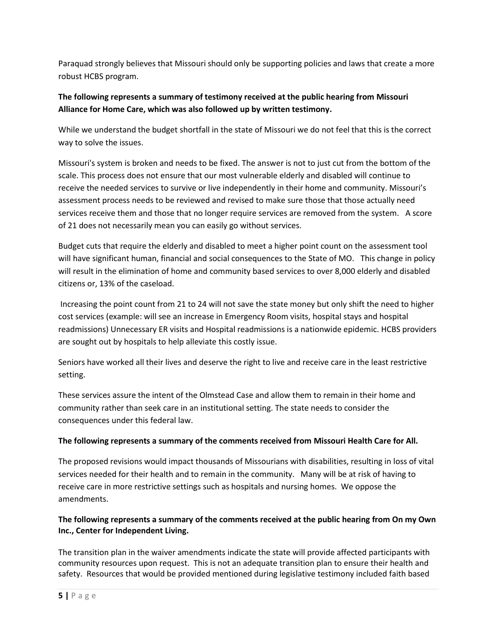Paraquad strongly believes that Missouri should only be supporting policies and laws that create a more robust HCBS program.

# **The following represents a summary of testimony received at the public hearing from Missouri Alliance for Home Care, which was also followed up by written testimony.**

While we understand the budget shortfall in the state of Missouri we do not feel that this is the correct way to solve the issues.

Missouri's system is broken and needs to be fixed. The answer is not to just cut from the bottom of the scale. This process does not ensure that our most vulnerable elderly and disabled will continue to receive the needed services to survive or live independently in their home and community. Missouri's assessment process needs to be reviewed and revised to make sure those that those actually need services receive them and those that no longer require services are removed from the system. A score of 21 does not necessarily mean you can easily go without services.

Budget cuts that require the elderly and disabled to meet a higher point count on the assessment tool will have significant human, financial and social consequences to the State of MO. This change in policy will result in the elimination of home and community based services to over 8,000 elderly and disabled citizens or, 13% of the caseload.

Increasing the point count from 21 to 24 will not save the state money but only shift the need to higher cost services (example: will see an increase in Emergency Room visits, hospital stays and hospital readmissions) Unnecessary ER visits and Hospital readmissions is a nationwide epidemic. HCBS providers are sought out by hospitals to help alleviate this costly issue.

Seniors have worked all their lives and deserve the right to live and receive care in the least restrictive setting.

These services assure the intent of the Olmstead Case and allow them to remain in their home and community rather than seek care in an institutional setting. The state needs to consider the consequences under this federal law.

## **The following represents a summary of the comments received from Missouri Health Care for All.**

The proposed revisions would impact thousands of Missourians with disabilities, resulting in loss of vital services needed for their health and to remain in the community. Many will be at risk of having to receive care in more restrictive settings such as hospitals and nursing homes. We oppose the amendments.

### **The following represents a summary of the comments received at the public hearing from On my Own Inc., Center for Independent Living.**

The transition plan in the waiver amendments indicate the state will provide affected participants with community resources upon request. This is not an adequate transition plan to ensure their health and safety. Resources that would be provided mentioned during legislative testimony included faith based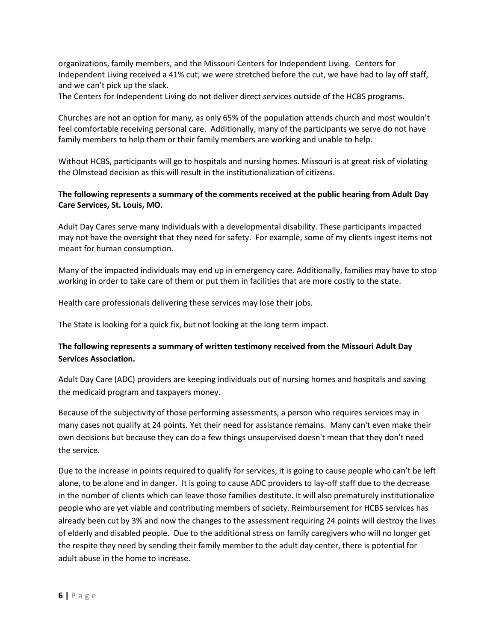organizations, family members, and the Missouri Centers for Independent Living. Centers for Independent Living received a 41% cut; we were stretched before the cut, we have had to lay off staff, and we can't pick up the slack.

The Centers for Independent Living do not deliver direct services outside of the HCBS programs.

Churches are not an option for many, as only 65% of the population attends church and most wouldn't feel comfortable receiving personal care. Additionally, many of the participants we serve do not have family members to help them or their family members are working and unable to help.

Without HCBS, participants will go to hospitals and nursing homes. Missouri is at great risk of violating the Olmstead decision as this will result in the institutionalization of citizens.

### **The following represents a summary of the comments received at the public hearing from Adult Day Care Services, St. Louis, MO.**

Adult Day Cares serve many individuals with a developmental disability. These participants impacted may not have the oversight that they need for safety. For example, some of my clients ingest items not meant for human consumption.

Many of the impacted individuals may end up in emergency care. Additionally, families may have to stop working in order to take care of them or put them in facilities that are more costly to the state.

Health care professionals delivering these services may lose their jobs.

The State is looking for a quick fix, but not looking at the long term impact.

## **The following represents a summary of written testimony received from the Missouri Adult Day Services Association.**

Adult Day Care (ADC) providers are keeping individuals out of nursing homes and hospitals and saving the medicaid program and taxpayers money.

Because of the subjectivity of those performing assessments, a person who requires services may in many cases not qualify at 24 points. Yet their need for assistance remains. Many can't even make their own decisions but because they can do a few things unsupervised doesn't mean that they don't need the service.

Due to the increase in points required to qualify for services, it is going to cause people who can't be left alone, to be alone and in danger. It is going to cause ADC providers to lay-off staff due to the decrease in the number of clients which can leave those families destitute. It will also prematurely institutionalize people who are yet viable and contributing members of society. Reimbursement for HCBS services has already been cut by 3% and now the changes to the assessment requiring 24 points will destroy the lives of elderly and disabled people. Due to the additional stress on family caregivers who will no longer get the respite they need by sending their family member to the adult day center, there is potential for adult abuse in the home to increase.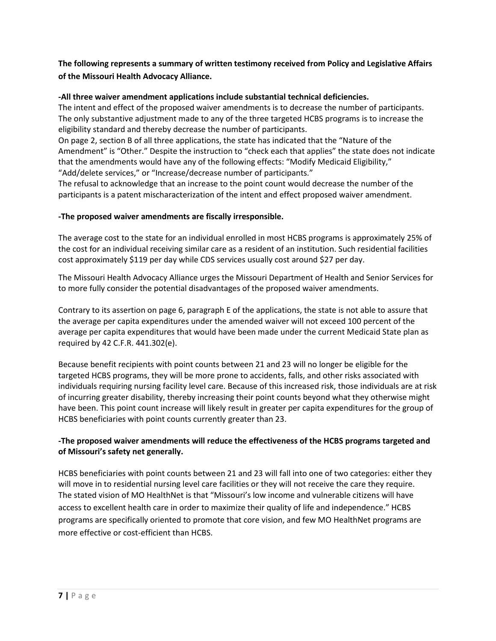**The following represents a summary of written testimony received from Policy and Legislative Affairs of the Missouri Health Advocacy Alliance.**

#### **-All three waiver amendment applications include substantial technical deficiencies.**

The intent and effect of the proposed waiver amendments is to decrease the number of participants. The only substantive adjustment made to any of the three targeted HCBS programs is to increase the eligibility standard and thereby decrease the number of participants.

On page 2, section B of all three applications, the state has indicated that the "Nature of the Amendment" is "Other." Despite the instruction to "check each that applies" the state does not indicate that the amendments would have any of the following effects: "Modify Medicaid Eligibility," "Add/delete services," or "Increase/decrease number of participants."

The refusal to acknowledge that an increase to the point count would decrease the number of the participants is a patent mischaracterization of the intent and effect proposed waiver amendment.

#### **-The proposed waiver amendments are fiscally irresponsible.**

The average cost to the state for an individual enrolled in most HCBS programs is approximately 25% of the cost for an individual receiving similar care as a resident of an institution. Such residential facilities cost approximately \$119 per day while CDS services usually cost around \$27 per day.

The Missouri Health Advocacy Alliance urges the Missouri Department of Health and Senior Services for to more fully consider the potential disadvantages of the proposed waiver amendments.

Contrary to its assertion on page 6, paragraph E of the applications, the state is not able to assure that the average per capita expenditures under the amended waiver will not exceed 100 percent of the average per capita expenditures that would have been made under the current Medicaid State plan as required by 42 C.F.R. 441.302(e).

Because benefit recipients with point counts between 21 and 23 will no longer be eligible for the targeted HCBS programs, they will be more prone to accidents, falls, and other risks associated with individuals requiring nursing facility level care. Because of this increased risk, those individuals are at risk of incurring greater disability, thereby increasing their point counts beyond what they otherwise might have been. This point count increase will likely result in greater per capita expenditures for the group of HCBS beneficiaries with point counts currently greater than 23.

### **-The proposed waiver amendments will reduce the effectiveness of the HCBS programs targeted and of Missouri's safety net generally.**

HCBS beneficiaries with point counts between 21 and 23 will fall into one of two categories: either they will move in to residential nursing level care facilities or they will not receive the care they require. The stated vision of MO HealthNet is that "Missouri's low income and vulnerable citizens will have access to excellent health care in order to maximize their quality of life and independence." HCBS programs are specifically oriented to promote that core vision, and few MO HealthNet programs are more effective or cost-efficient than HCBS.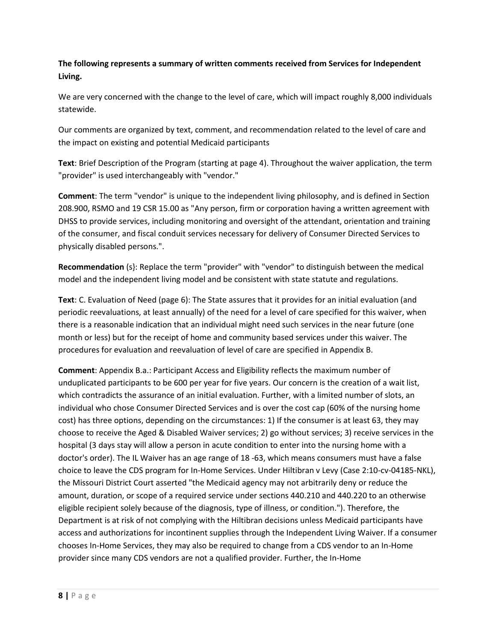## **The following represents a summary of written comments received from Services for Independent Living.**

We are very concerned with the change to the level of care, which will impact roughly 8,000 individuals statewide.

Our comments are organized by text, comment, and recommendation related to the level of care and the impact on existing and potential Medicaid participants

**Text**: Brief Description of the Program (starting at page 4). Throughout the waiver application, the term "provider" is used interchangeably with "vendor."

**Comment**: The term "vendor" is unique to the independent living philosophy, and is defined in Section 208.900, RSMO and 19 CSR 15.00 as "Any person, firm or corporation having a written agreement with DHSS to provide services, including monitoring and oversight of the attendant, orientation and training of the consumer, and fiscal conduit services necessary for delivery of Consumer Directed Services to physically disabled persons.".

**Recommendation** (s}: Replace the term "provider" with "vendor" to distinguish between the medical model and the independent living model and be consistent with state statute and regulations.

**Text**: C. Evaluation of Need (page 6): The State assures that it provides for an initial evaluation (and periodic reevaluations, at least annually) of the need for a level of care specified for this waiver, when there is a reasonable indication that an individual might need such services in the near future (one month or less) but for the receipt of home and community based services under this waiver. The procedures for evaluation and reevaluation of level of care are specified in Appendix B.

**Comment**: Appendix B.a.: Participant Access and Eligibility reflects the maximum number of unduplicated participants to be 600 per year for five years. Our concern is the creation of a wait list, which contradicts the assurance of an initial evaluation. Further, with a limited number of slots, an individual who chose Consumer Directed Services and is over the cost cap (60% of the nursing home cost) has three options, depending on the circumstances: 1) If the consumer is at least 63, they may choose to receive the Aged & Disabled Waiver services; 2) go without services; 3) receive services in the hospital (3 days stay will allow a person in acute condition to enter into the nursing home with a doctor's order). The IL Waiver has an age range of 18 -63, which means consumers must have a false choice to leave the CDS program for In-Home Services. Under Hiltibran v Levy (Case 2:10-cv-04185-NKL), the Missouri District Court asserted "the Medicaid agency may not arbitrarily deny or reduce the amount, duration, or scope of a required service under sections 440.210 and 440.220 to an otherwise eligible recipient solely because of the diagnosis, type of illness, or condition."). Therefore, the Department is at risk of not complying with the Hiltibran decisions unless Medicaid participants have access and authorizations for incontinent supplies through the Independent Living Waiver. If a consumer chooses In-Home Services, they may also be required to change from a CDS vendor to an In-Home provider since many CDS vendors are not a qualified provider. Further, the In-Home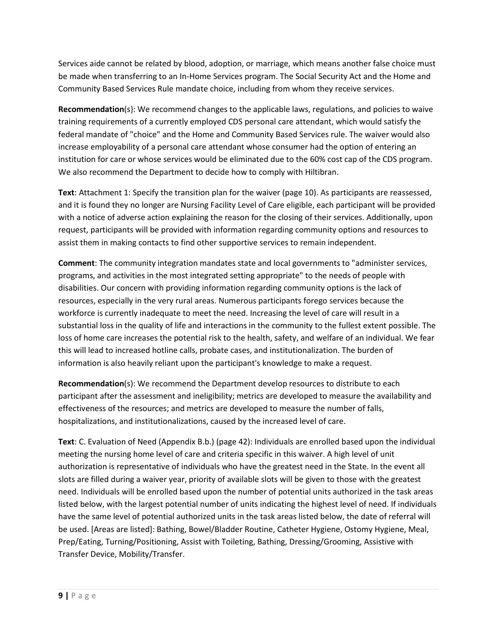Services aide cannot be related by blood, adoption, or marriage, which means another false choice must be made when transferring to an In-Home Services program. The Social Security Act and the Home and Community Based Services Rule mandate choice, including from whom they receive services.

**Recommendation**(s}: We recommend changes to the applicable laws, regulations, and policies to waive training requirements of a currently employed CDS personal care attendant, which would satisfy the federal mandate of "choice" and the Home and Community Based Services rule. The waiver would also increase employability of a personal care attendant whose consumer had the option of entering an institution for care or whose services would be eliminated due to the 60% cost cap of the CDS program. We also recommend the Department to decide how to comply with Hiltibran.

**Text**: Attachment 1: Specify the transition plan for the waiver (page 10). As participants are reassessed, and it is found they no longer are Nursing Facility Level of Care eligible, each participant will be provided with a notice of adverse action explaining the reason for the closing of their services. Additionally, upon request, participants will be provided with information regarding community options and resources to assist them in making contacts to find other supportive services to remain independent.

**Comment**: The community integration mandates state and local governments to "administer services, programs, and activities in the most integrated setting appropriate" to the needs of people with disabilities. Our concern with providing information regarding community options is the lack of resources, especially in the very rural areas. Numerous participants forego services because the workforce is currently inadequate to meet the need. Increasing the level of care will result in a substantial loss in the quality of life and interactions in the community to the fullest extent possible. The loss of home care increases the potential risk to the health, safety, and welfare of an individual. We fear this will lead to increased hotline calls, probate cases, and institutionalization. The burden of information is also heavily reliant upon the participant's knowledge to make a request.

**Recommendation**(s): We recommend the Department develop resources to distribute to each participant after the assessment and ineligibility; metrics are developed to measure the availability and effectiveness of the resources; and metrics are developed to measure the number of falls, hospitalizations, and institutionalizations, caused by the increased level of care.

**Text**: C. Evaluation of Need (Appendix B.b.) (page 42): Individuals are enrolled based upon the individual meeting the nursing home level of care and criteria specific in this waiver. A high level of unit authorization is representative of individuals who have the greatest need in the State. In the event all slots are filled during a waiver year, priority of available slots will be given to those with the greatest need. Individuals will be enrolled based upon the number of potential units authorized in the task areas listed below, with the largest potential number of units indicating the highest level of need. If individuals have the same level of potential authorized units in the task areas listed below, the date of referral will be used. [Areas are listed]: Bathing, Bowel/Bladder Routine, Catheter Hygiene, Ostomy Hygiene, Meal, Prep/Eating, Turning/Positioning, Assist with Toileting, Bathing, Dressing/Grooming, Assistive with Transfer Device, Mobility/Transfer.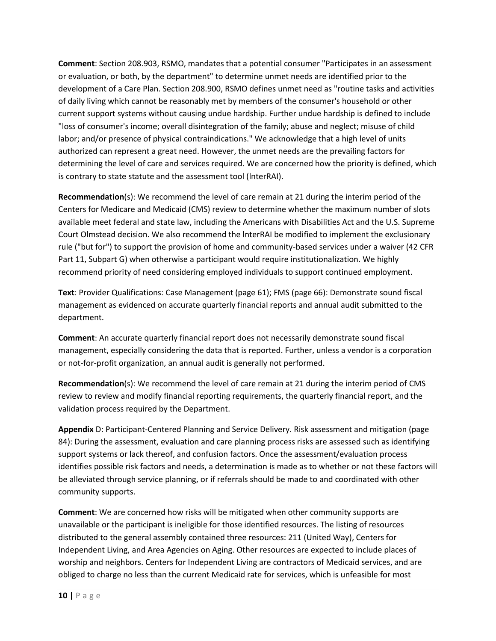**Comment**: Section 208.903, RSMO, mandates that a potential consumer "Participates in an assessment or evaluation, or both, by the department" to determine unmet needs are identified prior to the development of a Care Plan. Section 208.900, RSMO defines unmet need as "routine tasks and activities of daily living which cannot be reasonably met by members of the consumer's household or other current support systems without causing undue hardship. Further undue hardship is defined to include "loss of consumer's income; overall disintegration of the family; abuse and neglect; misuse of child labor; and/or presence of physical contraindications." We acknowledge that a high level of units authorized can represent a great need. However, the unmet needs are the prevailing factors for determining the level of care and services required. We are concerned how the priority is defined, which is contrary to state statute and the assessment tool (lnterRAI).

**Recommendation**(s): We recommend the level of care remain at 21 during the interim period of the Centers for Medicare and Medicaid (CMS) review to determine whether the maximum number of slots available meet federal and state law, including the Americans with Disabilities Act and the U.S. Supreme Court Olmstead decision. We also recommend the lnterRAI be modified to implement the exclusionary rule ("but for") to support the provision of home and community-based services under a waiver (42 CFR Part 11, Subpart G) when otherwise a participant would require institutionalization. We highly recommend priority of need considering employed individuals to support continued employment.

**Text**: Provider Qualifications: Case Management (page 61); FMS (page 66): Demonstrate sound fiscal management as evidenced on accurate quarterly financial reports and annual audit submitted to the department.

**Comment**: An accurate quarterly financial report does not necessarily demonstrate sound fiscal management, especially considering the data that is reported. Further, unless a vendor is a corporation or not-for-profit organization, an annual audit is generally not performed.

**Recommendation**(s): We recommend the level of care remain at 21 during the interim period of CMS review to review and modify financial reporting requirements, the quarterly financial report, and the validation process required by the Department.

**Appendix** D: Participant-Centered Planning and Service Delivery. Risk assessment and mitigation (page 84): During the assessment, evaluation and care planning process risks are assessed such as identifying support systems or lack thereof, and confusion factors. Once the assessment/evaluation process identifies possible risk factors and needs, a determination is made as to whether or not these factors will be alleviated through service planning, or if referrals should be made to and coordinated with other community supports.

**Comment**: We are concerned how risks will be mitigated when other community supports are unavailable or the participant is ineligible for those identified resources. The listing of resources distributed to the general assembly contained three resources: 211 (United Way), Centers for Independent Living, and Area Agencies on Aging. Other resources are expected to include places of worship and neighbors. Centers for Independent Living are contractors of Medicaid services, and are obliged to charge no less than the current Medicaid rate for services, which is unfeasible for most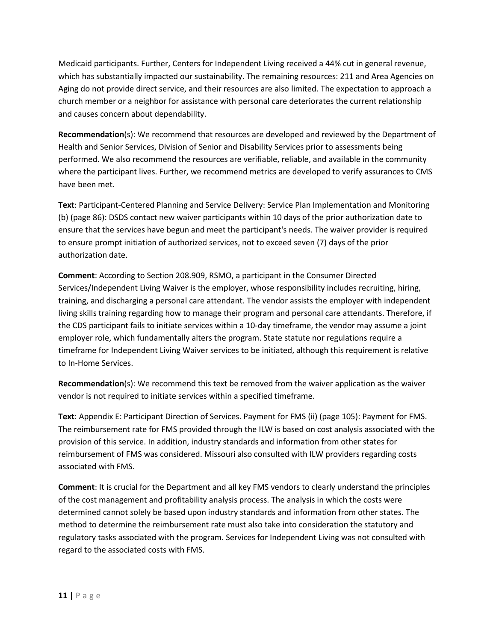Medicaid participants. Further, Centers for Independent Living received a 44% cut in general revenue, which has substantially impacted our sustainability. The remaining resources: 211 and Area Agencies on Aging do not provide direct service, and their resources are also limited. The expectation to approach a church member or a neighbor for assistance with personal care deteriorates the current relationship and causes concern about dependability.

**Recommendation**(s): We recommend that resources are developed and reviewed by the Department of Health and Senior Services, Division of Senior and Disability Services prior to assessments being performed. We also recommend the resources are verifiable, reliable, and available in the community where the participant lives. Further, we recommend metrics are developed to verify assurances to CMS have been met.

**Text**: Participant-Centered Planning and Service Delivery: Service Plan Implementation and Monitoring (b) (page 86): DSDS contact new waiver participants within 10 days of the prior authorization date to ensure that the services have begun and meet the participant's needs. The waiver provider is required to ensure prompt initiation of authorized services, not to exceed seven (7) days of the prior authorization date.

**Comment**: According to Section 208.909, RSMO, a participant in the Consumer Directed Services/Independent Living Waiver is the employer, whose responsibility includes recruiting, hiring, training, and discharging a personal care attendant. The vendor assists the employer with independent living skills training regarding how to manage their program and personal care attendants. Therefore, if the CDS participant fails to initiate services within a 10-day timeframe, the vendor may assume a joint employer role, which fundamentally alters the program. State statute nor regulations require a timeframe for Independent Living Waiver services to be initiated, although this requirement is relative to In-Home Services.

**Recommendation**(s): We recommend this text be removed from the waiver application as the waiver vendor is not required to initiate services within a specified timeframe.

**Text**: Appendix E: Participant Direction of Services. Payment for FMS (ii) (page 105): Payment for FMS. The reimbursement rate for FMS provided through the ILW is based on cost analysis associated with the provision of this service. In addition, industry standards and information from other states for reimbursement of FMS was considered. Missouri also consulted with ILW providers regarding costs associated with FMS.

**Comment**: It is crucial for the Department and all key FMS vendors to clearly understand the principles of the cost management and profitability analysis process. The analysis in which the costs were determined cannot solely be based upon industry standards and information from other states. The method to determine the reimbursement rate must also take into consideration the statutory and regulatory tasks associated with the program. Services for Independent Living was not consulted with regard to the associated costs with FMS.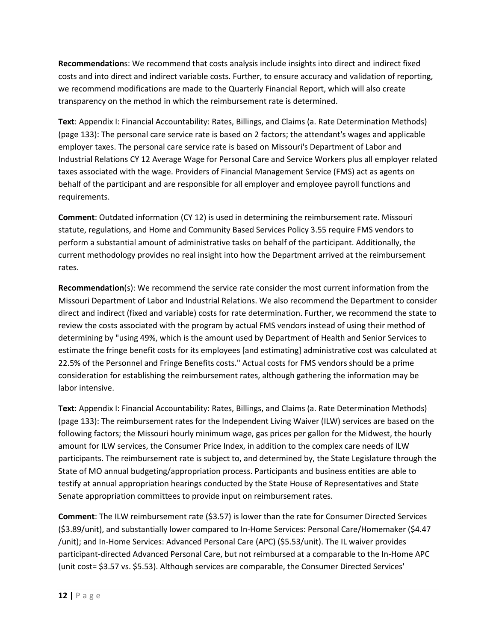**Recommendation**s: We recommend that costs analysis include insights into direct and indirect fixed costs and into direct and indirect variable costs. Further, to ensure accuracy and validation of reporting, we recommend modifications are made to the Quarterly Financial Report, which will also create transparency on the method in which the reimbursement rate is determined.

**Text**: Appendix I: Financial Accountability: Rates, Billings, and Claims (a. Rate Determination Methods) (page 133): The personal care service rate is based on 2 factors; the attendant's wages and applicable employer taxes. The personal care service rate is based on Missouri's Department of Labor and Industrial Relations CY 12 Average Wage for Personal Care and Service Workers plus all employer related taxes associated with the wage. Providers of Financial Management Service (FMS) act as agents on behalf of the participant and are responsible for all employer and employee payroll functions and requirements.

**Comment**: Outdated information (CY 12) is used in determining the reimbursement rate. Missouri statute, regulations, and Home and Community Based Services Policy 3.55 require FMS vendors to perform a substantial amount of administrative tasks on behalf of the participant. Additionally, the current methodology provides no real insight into how the Department arrived at the reimbursement rates.

**Recommendation**(s): We recommend the service rate consider the most current information from the Missouri Department of Labor and Industrial Relations. We also recommend the Department to consider direct and indirect (fixed and variable) costs for rate determination. Further, we recommend the state to review the costs associated with the program by actual FMS vendors instead of using their method of determining by "using 49%, which is the amount used by Department of Health and Senior Services to estimate the fringe benefit costs for its employees [and estimating] administrative cost was calculated at 22.5% of the Personnel and Fringe Benefits costs." Actual costs for FMS vendors should be a prime consideration for establishing the reimbursement rates, although gathering the information may be labor intensive.

**Text**: Appendix I: Financial Accountability: Rates, Billings, and Claims (a. Rate Determination Methods) (page 133): The reimbursement rates for the Independent Living Waiver (ILW) services are based on the following factors; the Missouri hourly minimum wage, gas prices per gallon for the Midwest, the hourly amount for ILW services, the Consumer Price Index, in addition to the complex care needs of ILW participants. The reimbursement rate is subject to, and determined by, the State Legislature through the State of MO annual budgeting/appropriation process. Participants and business entities are able to testify at annual appropriation hearings conducted by the State House of Representatives and State Senate appropriation committees to provide input on reimbursement rates.

**Comment**: The ILW reimbursement rate (\$3.57) is lower than the rate for Consumer Directed Services (\$3.89/unit), and substantially lower compared to In-Home Services: Personal Care/Homemaker (\$4.47 /unit); and In-Home Services: Advanced Personal Care (APC) (\$5.53/unit). The IL waiver provides participant-directed Advanced Personal Care, but not reimbursed at a comparable to the In-Home APC (unit cost= \$3.57 vs. \$5.53). Although services are comparable, the Consumer Directed Services'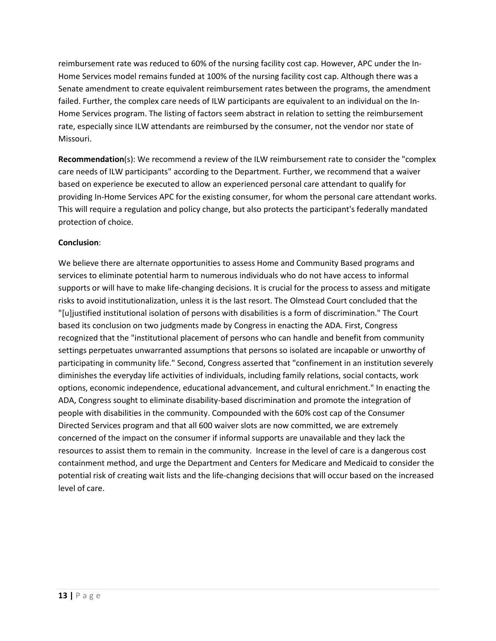reimbursement rate was reduced to 60% of the nursing facility cost cap. However, APC under the In-Home Services model remains funded at 100% of the nursing facility cost cap. Although there was a Senate amendment to create equivalent reimbursement rates between the programs, the amendment failed. Further, the complex care needs of ILW participants are equivalent to an individual on the In-Home Services program. The listing of factors seem abstract in relation to setting the reimbursement rate, especially since ILW attendants are reimbursed by the consumer, not the vendor nor state of Missouri.

**Recommendation**(s): We recommend a review of the ILW reimbursement rate to consider the "complex care needs of ILW participants" according to the Department. Further, we recommend that a waiver based on experience be executed to allow an experienced personal care attendant to qualify for providing In-Home Services APC for the existing consumer, for whom the personal care attendant works. This will require a regulation and policy change, but also protects the participant's federally mandated protection of choice.

### **Conclusion**:

We believe there are alternate opportunities to assess Home and Community Based programs and services to eliminate potential harm to numerous individuals who do not have access to informal supports or will have to make life-changing decisions. It is crucial for the process to assess and mitigate risks to avoid institutionalization, unless it is the last resort. The Olmstead Court concluded that the "[u]justified institutional isolation of persons with disabilities is a form of discrimination." The Court based its conclusion on two judgments made by Congress in enacting the ADA. First, Congress recognized that the "institutional placement of persons who can handle and benefit from community settings perpetuates unwarranted assumptions that persons so isolated are incapable or unworthy of participating in community life." Second, Congress asserted that "confinement in an institution severely diminishes the everyday life activities of individuals, including family relations, social contacts, work options, economic independence, educational advancement, and cultural enrichment." In enacting the ADA, Congress sought to eliminate disability-based discrimination and promote the integration of people with disabilities in the community. Compounded with the 60% cost cap of the Consumer Directed Services program and that all 600 waiver slots are now committed, we are extremely concerned of the impact on the consumer if informal supports are unavailable and they lack the resources to assist them to remain in the community. Increase in the level of care is a dangerous cost containment method, and urge the Department and Centers for Medicare and Medicaid to consider the potential risk of creating wait lists and the life-changing decisions that will occur based on the increased level of care.